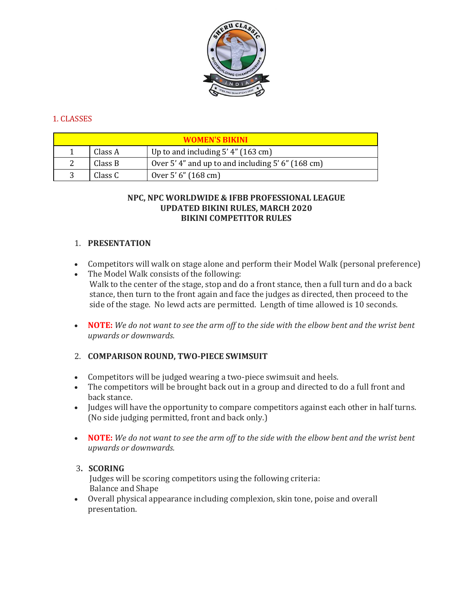

## 1. CLASSES

| <b>WOMEN'S BIKINI</b> |         |                                                           |
|-----------------------|---------|-----------------------------------------------------------|
|                       | Class A | Up to and including 5' 4" (163 cm)                        |
|                       | Class B | Over 5'4" and up to and including 5'6" $(168 \text{ cm})$ |
|                       | Class C | Over 5' 6" (168 cm)                                       |

#### **NPC, NPC WORLDWIDE & IFBB PROFESSIONAL LEAGUE UPDATED BIKINI RULES, MARCH 2020 BIKINI COMPETITOR RULES**

#### 1. **PRESENTATION**

- Competitors will walk on stage alone and perform their Model Walk (personal preference)
- The Model Walk consists of the following: Walk to the center of the stage, stop and do a front stance, then a full turn and do a back stance, then turn to the front again and face the judges as directed, then proceed to the side of the stage. No lewd acts are permitted. Length of time allowed is 10 seconds.
- **NOTE:** *We do not want to see the arm off to the side with the elbow bent and the wrist bent upwards or downwards.*

#### 2. **COMPARISON ROUND, TWO-PIECE SWIMSUIT**

- Competitors will be judged wearing a two-piece swimsuit and heels.
- The competitors will be brought back out in a group and directed to do a full front and back stance.
- Judges will have the opportunity to compare competitors against each other in half turns. (No side judging permitted, front and back only.)
- **NOTE:** *We do not want to see the arm off to the side with the elbow bent and the wrist bent upwards or downwards.*

#### 3**. SCORING**

Judges will be scoring competitors using the following criteria: Balance and Shape

 Overall physical appearance including complexion, skin tone, poise and overall presentation.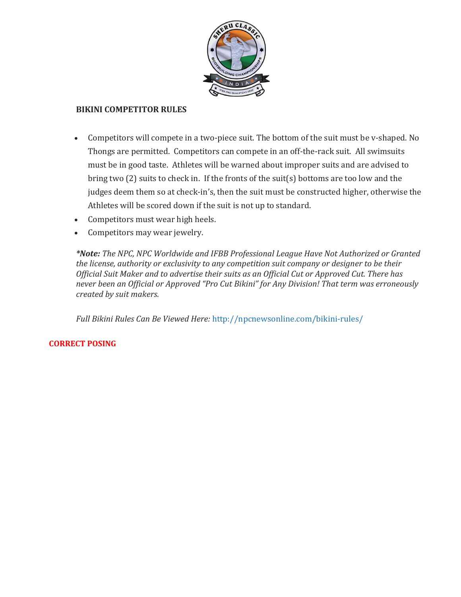

### **BIKINI COMPETITOR RULES**

- Competitors will compete in a two-piece suit. The bottom of the suit must be v-shaped. No Thongs are permitted. Competitors can compete in an off-the-rack suit. All swimsuits must be in good taste. Athletes will be warned about improper suits and are advised to bring two (2) suits to check in. If the fronts of the suit(s) bottoms are too low and the judges deem them so at check-in's, then the suit must be constructed higher, otherwise the Athletes will be scored down if the suit is not up to standard.
- Competitors must wear high heels.
- Competitors may wear jewelry.

*\*Note: The NPC, NPC Worldwide and IFBB Professional League Have Not Authorized or Granted the license, authority or exclusivity to any competition suit company or designer to be their Official Suit Maker and to advertise their suits as an Official Cut or Approved Cut. There has never been an Official or Approved "Pro Cut Bikini" for Any Division! That term was erroneously created by suit makers.*

*Full Bikini Rules Can Be Viewed Here:* <http://npcnewsonline.com/bikini-rules/>

#### **CORRECT POSING**